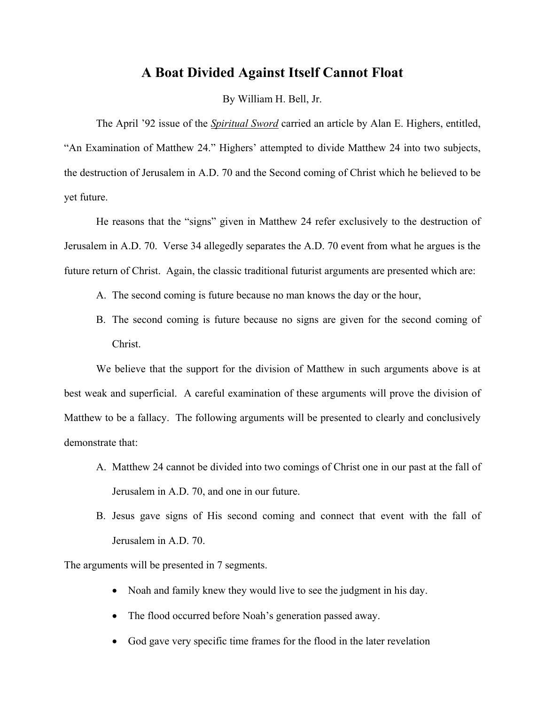# **A Boat Divided Against Itself Cannot Float**

By William H. Bell, Jr.

 The April '92 issue of the *Spiritual Sword* carried an article by Alan E. Highers, entitled, "An Examination of Matthew 24." Highers' attempted to divide Matthew 24 into two subjects, the destruction of Jerusalem in A.D. 70 and the Second coming of Christ which he believed to be yet future.

 He reasons that the "signs" given in Matthew 24 refer exclusively to the destruction of Jerusalem in A.D. 70. Verse 34 allegedly separates the A.D. 70 event from what he argues is the future return of Christ. Again, the classic traditional futurist arguments are presented which are:

- A. The second coming is future because no man knows the day or the hour,
- B. The second coming is future because no signs are given for the second coming of Christ.

 We believe that the support for the division of Matthew in such arguments above is at best weak and superficial. A careful examination of these arguments will prove the division of Matthew to be a fallacy. The following arguments will be presented to clearly and conclusively demonstrate that:

- A. Matthew 24 cannot be divided into two comings of Christ one in our past at the fall of Jerusalem in A.D. 70, and one in our future.
- B. Jesus gave signs of His second coming and connect that event with the fall of Jerusalem in A.D. 70.

The arguments will be presented in 7 segments.

- Noah and family knew they would live to see the judgment in his day.
- The flood occurred before Noah's generation passed away.
- God gave very specific time frames for the flood in the later revelation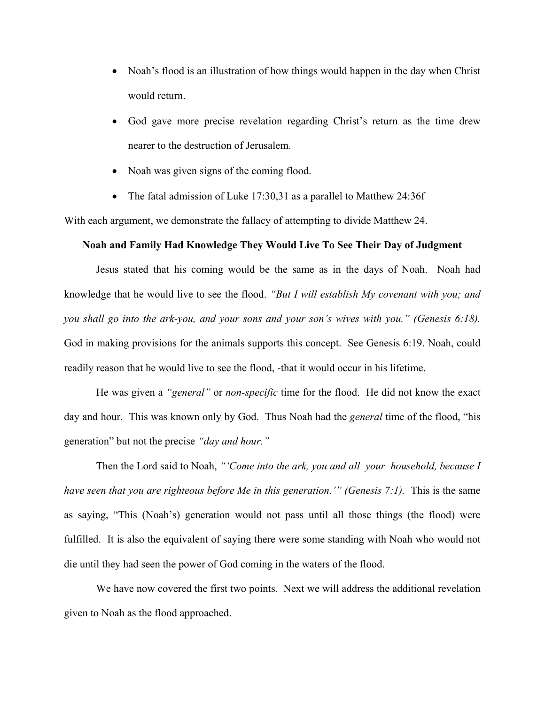- Noah's flood is an illustration of how things would happen in the day when Christ would return.
- God gave more precise revelation regarding Christ's return as the time drew nearer to the destruction of Jerusalem.
- Noah was given signs of the coming flood.
- The fatal admission of Luke 17:30,31 as a parallel to Matthew 24:36f

With each argument, we demonstrate the fallacy of attempting to divide Matthew 24.

# **Noah and Family Had Knowledge They Would Live To See Their Day of Judgment**

 Jesus stated that his coming would be the same as in the days of Noah. Noah had knowledge that he would live to see the flood. *"But I will establish My covenant with you; and you shall go into the ark-you, and your sons and your son's wives with you." (Genesis 6:18).*  God in making provisions for the animals supports this concept. See Genesis 6:19. Noah, could readily reason that he would live to see the flood, -that it would occur in his lifetime.

 He was given a *"general"* or *non-specific* time for the flood. He did not know the exact day and hour. This was known only by God. Thus Noah had the *general* time of the flood, "his generation" but not the precise *"day and hour."*

 Then the Lord said to Noah, *"'Come into the ark, you and all your household, because I have seen that you are righteous before Me in this generation.'" (Genesis 7:1).* This is the same as saying, "This (Noah's) generation would not pass until all those things (the flood) were fulfilled. It is also the equivalent of saying there were some standing with Noah who would not die until they had seen the power of God coming in the waters of the flood.

We have now covered the first two points. Next we will address the additional revelation given to Noah as the flood approached.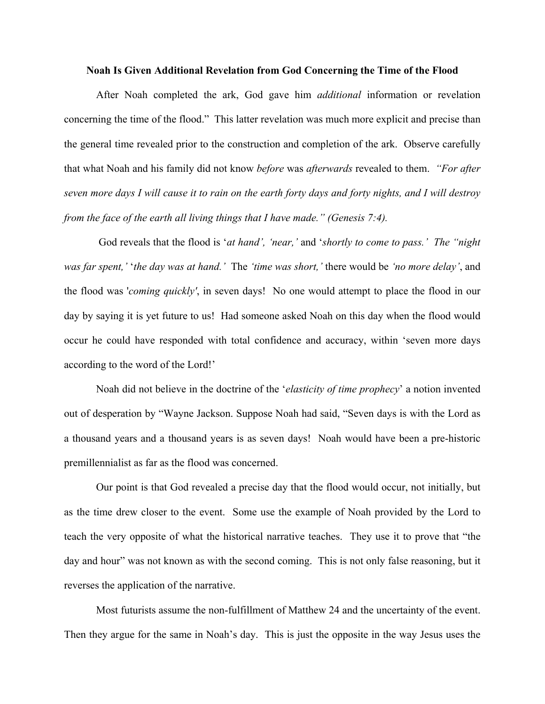#### **Noah Is Given Additional Revelation from God Concerning the Time of the Flood**

 After Noah completed the ark, God gave him *additional* information or revelation concerning the time of the flood." This latter revelation was much more explicit and precise than the general time revealed prior to the construction and completion of the ark. Observe carefully that what Noah and his family did not know *before* was *afterwards* revealed to them. *"For after seven more days I will cause it to rain on the earth forty days and forty nights, and I will destroy from the face of the earth all living things that I have made." (Genesis 7:4).* 

 God reveals that the flood is '*at hand', 'near,'* and '*shortly to come to pass.' The "night was far spent,'* '*the day was at hand.'* The *'time was short,'* there would be *'no more delay'*, and the flood was '*coming quickly'*, in seven days! No one would attempt to place the flood in our day by saying it is yet future to us! Had someone asked Noah on this day when the flood would occur he could have responded with total confidence and accuracy, within 'seven more days according to the word of the Lord!'

 Noah did not believe in the doctrine of the '*elasticity of time prophecy*' a notion invented out of desperation by "Wayne Jackson. Suppose Noah had said, "Seven days is with the Lord as a thousand years and a thousand years is as seven days! Noah would have been a pre-historic premillennialist as far as the flood was concerned.

 Our point is that God revealed a precise day that the flood would occur, not initially, but as the time drew closer to the event. Some use the example of Noah provided by the Lord to teach the very opposite of what the historical narrative teaches. They use it to prove that "the day and hour" was not known as with the second coming. This is not only false reasoning, but it reverses the application of the narrative.

 Most futurists assume the non-fulfillment of Matthew 24 and the uncertainty of the event. Then they argue for the same in Noah's day. This is just the opposite in the way Jesus uses the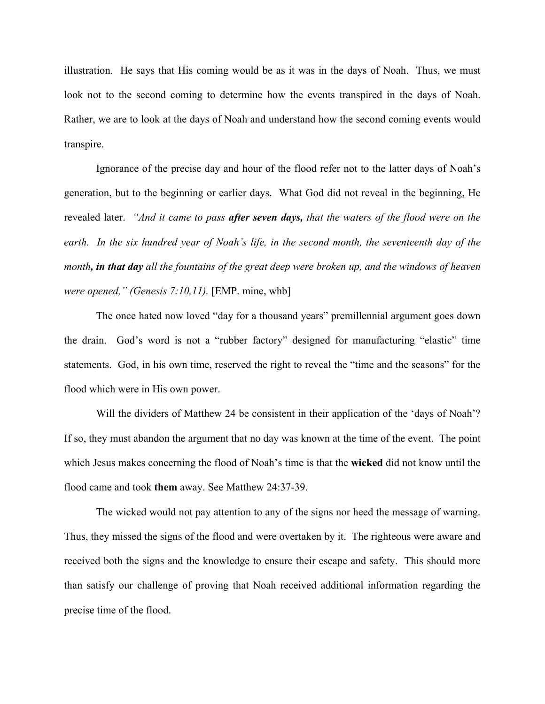illustration. He says that His coming would be as it was in the days of Noah. Thus, we must look not to the second coming to determine how the events transpired in the days of Noah. Rather, we are to look at the days of Noah and understand how the second coming events would transpire.

 Ignorance of the precise day and hour of the flood refer not to the latter days of Noah's generation, but to the beginning or earlier days. What God did not reveal in the beginning, He revealed later. *"And it came to pass after seven days, that the waters of the flood were on the earth. In the six hundred year of Noah's life, in the second month, the seventeenth day of the month, in that day all the fountains of the great deep were broken up, and the windows of heaven were opened," (Genesis 7:10,11).* [EMP. mine, whb]

 The once hated now loved "day for a thousand years" premillennial argument goes down the drain. God's word is not a "rubber factory" designed for manufacturing "elastic" time statements. God, in his own time, reserved the right to reveal the "time and the seasons" for the flood which were in His own power.

Will the dividers of Matthew 24 be consistent in their application of the 'days of Noah'? If so, they must abandon the argument that no day was known at the time of the event. The point which Jesus makes concerning the flood of Noah's time is that the **wicked** did not know until the flood came and took **them** away. See Matthew 24:37-39.

 The wicked would not pay attention to any of the signs nor heed the message of warning. Thus, they missed the signs of the flood and were overtaken by it. The righteous were aware and received both the signs and the knowledge to ensure their escape and safety. This should more than satisfy our challenge of proving that Noah received additional information regarding the precise time of the flood.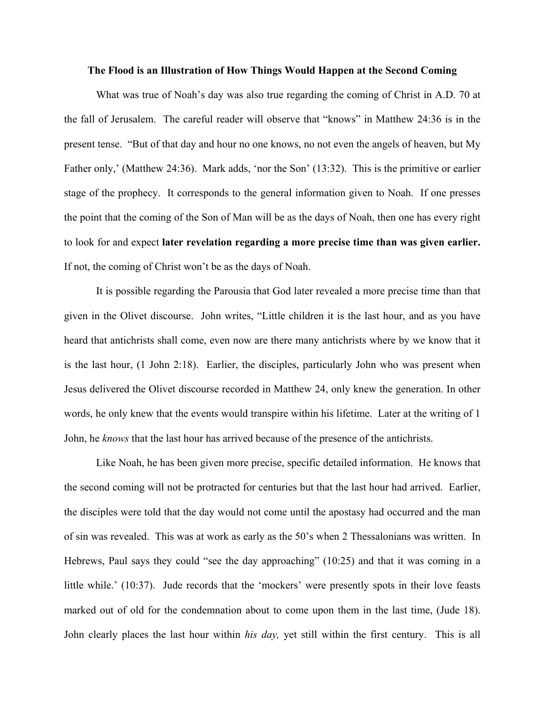### **The Flood is an Illustration of How Things Would Happen at the Second Coming**

 What was true of Noah's day was also true regarding the coming of Christ in A.D. 70 at the fall of Jerusalem. The careful reader will observe that "knows" in Matthew 24:36 is in the present tense. "But of that day and hour no one knows, no not even the angels of heaven, but My Father only,' (Matthew 24:36). Mark adds, 'nor the Son' (13:32). This is the primitive or earlier stage of the prophecy. It corresponds to the general information given to Noah. If one presses the point that the coming of the Son of Man will be as the days of Noah, then one has every right to look for and expect **later revelation regarding a more precise time than was given earlier.** If not, the coming of Christ won't be as the days of Noah.

 It is possible regarding the Parousia that God later revealed a more precise time than that given in the Olivet discourse. John writes, "Little children it is the last hour, and as you have heard that antichrists shall come, even now are there many antichrists where by we know that it is the last hour, (1 John 2:18). Earlier, the disciples, particularly John who was present when Jesus delivered the Olivet discourse recorded in Matthew 24, only knew the generation. In other words, he only knew that the events would transpire within his lifetime. Later at the writing of 1 John, he *knows* that the last hour has arrived because of the presence of the antichrists.

 Like Noah, he has been given more precise, specific detailed information. He knows that the second coming will not be protracted for centuries but that the last hour had arrived. Earlier, the disciples were told that the day would not come until the apostasy had occurred and the man of sin was revealed. This was at work as early as the 50's when 2 Thessalonians was written. In Hebrews, Paul says they could "see the day approaching" (10:25) and that it was coming in a little while.' (10:37). Jude records that the 'mockers' were presently spots in their love feasts marked out of old for the condemnation about to come upon them in the last time, (Jude 18). John clearly places the last hour within *his day,* yet still within the first century. This is all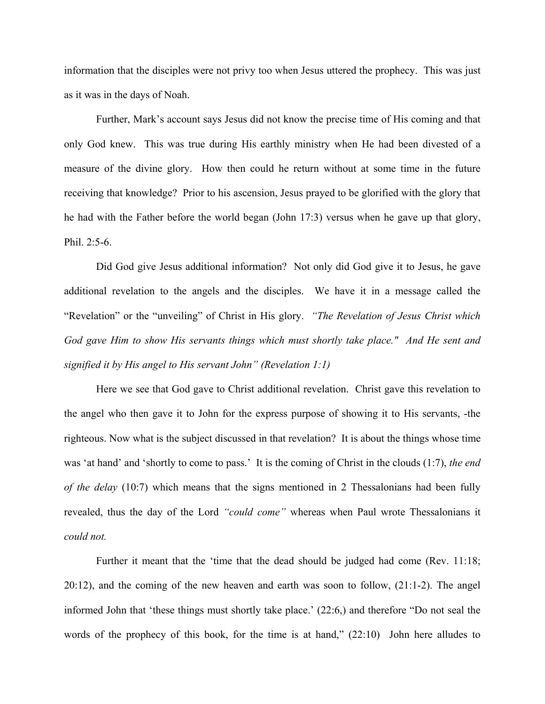information that the disciples were not privy too when Jesus uttered the prophecy. This was just as it was in the days of Noah.

 Further, Mark's account says Jesus did not know the precise time of His coming and that only God knew. This was true during His earthly ministry when He had been divested of a measure of the divine glory. How then could he return without at some time in the future receiving that knowledge? Prior to his ascension, Jesus prayed to be glorified with the glory that he had with the Father before the world began (John 17:3) versus when he gave up that glory, Phil. 2:5-6.

 Did God give Jesus additional information? Not only did God give it to Jesus, he gave additional revelation to the angels and the disciples. We have it in a message called the "Revelation" or the "unveiling" of Christ in His glory. *"The Revelation of Jesus Christ which God gave Him to show His servants things which must shortly take place." And He sent and signified it by His angel to His servant John" (Revelation 1:1)*

 Here we see that God gave to Christ additional revelation. Christ gave this revelation to the angel who then gave it to John for the express purpose of showing it to His servants, -the righteous. Now what is the subject discussed in that revelation? It is about the things whose time was 'at hand' and 'shortly to come to pass.' It is the coming of Christ in the clouds (1:7), *the end of the delay* (10:7) which means that the signs mentioned in 2 Thessalonians had been fully revealed, thus the day of the Lord *"could come"* whereas when Paul wrote Thessalonians it *could not.*

Further it meant that the 'time that the dead should be judged had come (Rev. 11:18; 20:12), and the coming of the new heaven and earth was soon to follow, (21:1-2). The angel informed John that 'these things must shortly take place.' (22:6,) and therefore "Do not seal the words of the prophecy of this book, for the time is at hand,"  $(22:10)$  John here alludes to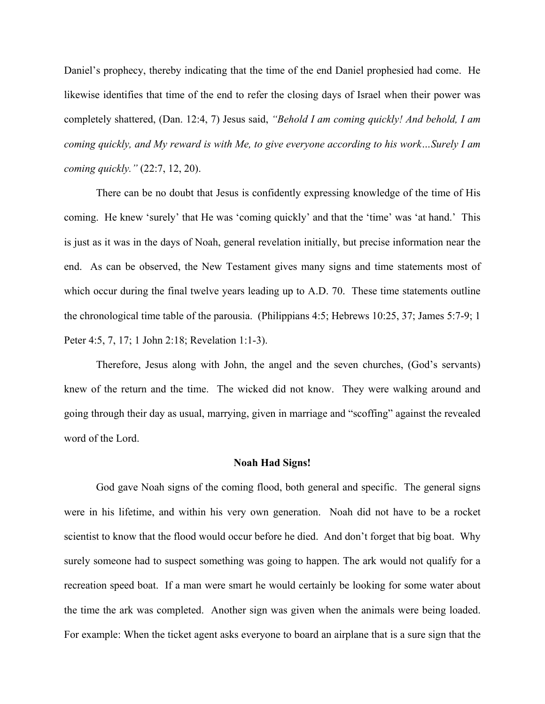Daniel's prophecy, thereby indicating that the time of the end Daniel prophesied had come. He likewise identifies that time of the end to refer the closing days of Israel when their power was completely shattered, (Dan. 12:4, 7) Jesus said, *"Behold I am coming quickly! And behold, I am coming quickly, and My reward is with Me, to give everyone according to his work…Surely I am coming quickly."* (22:7, 12, 20).

 There can be no doubt that Jesus is confidently expressing knowledge of the time of His coming. He knew 'surely' that He was 'coming quickly' and that the 'time' was 'at hand.' This is just as it was in the days of Noah, general revelation initially, but precise information near the end. As can be observed, the New Testament gives many signs and time statements most of which occur during the final twelve years leading up to A.D. 70. These time statements outline the chronological time table of the parousia. (Philippians 4:5; Hebrews 10:25, 37; James 5:7-9; 1 Peter 4:5, 7, 17; 1 John 2:18; Revelation 1:1-3).

 Therefore, Jesus along with John, the angel and the seven churches, (God's servants) knew of the return and the time. The wicked did not know. They were walking around and going through their day as usual, marrying, given in marriage and "scoffing" against the revealed word of the Lord.

### **Noah Had Signs!**

 God gave Noah signs of the coming flood, both general and specific. The general signs were in his lifetime, and within his very own generation. Noah did not have to be a rocket scientist to know that the flood would occur before he died. And don't forget that big boat. Why surely someone had to suspect something was going to happen. The ark would not qualify for a recreation speed boat. If a man were smart he would certainly be looking for some water about the time the ark was completed. Another sign was given when the animals were being loaded. For example: When the ticket agent asks everyone to board an airplane that is a sure sign that the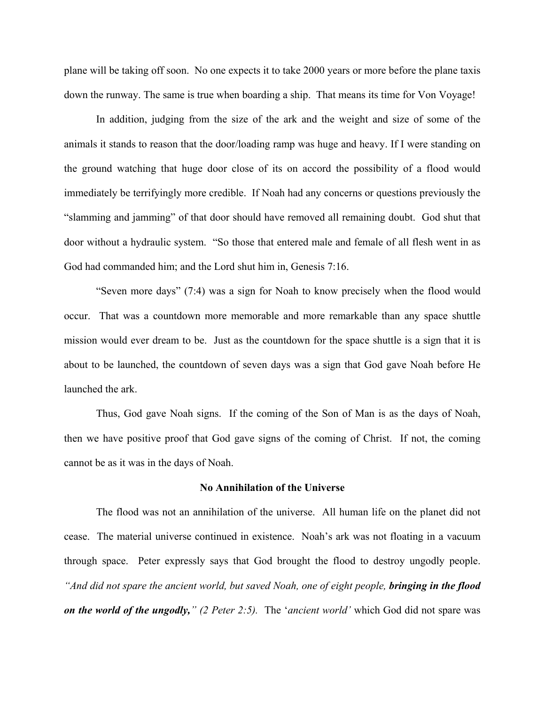plane will be taking off soon. No one expects it to take 2000 years or more before the plane taxis down the runway. The same is true when boarding a ship. That means its time for Von Voyage!

 In addition, judging from the size of the ark and the weight and size of some of the animals it stands to reason that the door/loading ramp was huge and heavy. If I were standing on the ground watching that huge door close of its on accord the possibility of a flood would immediately be terrifyingly more credible. If Noah had any concerns or questions previously the "slamming and jamming" of that door should have removed all remaining doubt. God shut that door without a hydraulic system. "So those that entered male and female of all flesh went in as God had commanded him; and the Lord shut him in, Genesis 7:16.

 "Seven more days" (7:4) was a sign for Noah to know precisely when the flood would occur. That was a countdown more memorable and more remarkable than any space shuttle mission would ever dream to be. Just as the countdown for the space shuttle is a sign that it is about to be launched, the countdown of seven days was a sign that God gave Noah before He launched the ark.

 Thus, God gave Noah signs. If the coming of the Son of Man is as the days of Noah, then we have positive proof that God gave signs of the coming of Christ. If not, the coming cannot be as it was in the days of Noah.

## **No Annihilation of the Universe**

 The flood was not an annihilation of the universe. All human life on the planet did not cease. The material universe continued in existence. Noah's ark was not floating in a vacuum through space. Peter expressly says that God brought the flood to destroy ungodly people. "And did not spare the ancient world, but saved Noah, one of eight people, **bringing in the flood** *on the world of the ungodly," (2 Peter 2:5).* The '*ancient world'* which God did not spare was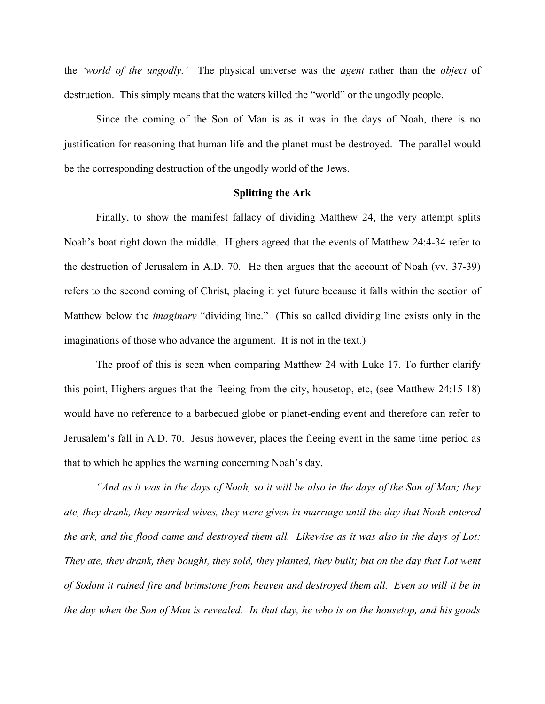the *'world of the ungodly.'* The physical universe was the *agent* rather than the *object* of destruction. This simply means that the waters killed the "world" or the ungodly people.

 Since the coming of the Son of Man is as it was in the days of Noah, there is no justification for reasoning that human life and the planet must be destroyed. The parallel would be the corresponding destruction of the ungodly world of the Jews.

## **Splitting the Ark**

 Finally, to show the manifest fallacy of dividing Matthew 24, the very attempt splits Noah's boat right down the middle. Highers agreed that the events of Matthew 24:4-34 refer to the destruction of Jerusalem in A.D. 70. He then argues that the account of Noah (vv. 37-39) refers to the second coming of Christ, placing it yet future because it falls within the section of Matthew below the *imaginary* "dividing line." (This so called dividing line exists only in the imaginations of those who advance the argument. It is not in the text.)

 The proof of this is seen when comparing Matthew 24 with Luke 17. To further clarify this point, Highers argues that the fleeing from the city, housetop, etc, (see Matthew 24:15-18) would have no reference to a barbecued globe or planet-ending event and therefore can refer to Jerusalem's fall in A.D. 70. Jesus however, places the fleeing event in the same time period as that to which he applies the warning concerning Noah's day.

*"And as it was in the days of Noah, so it will be also in the days of the Son of Man; they ate, they drank, they married wives, they were given in marriage until the day that Noah entered the ark, and the flood came and destroyed them all. Likewise as it was also in the days of Lot: They ate, they drank, they bought, they sold, they planted, they built; but on the day that Lot went of Sodom it rained fire and brimstone from heaven and destroyed them all. Even so will it be in the day when the Son of Man is revealed. In that day, he who is on the housetop, and his goods*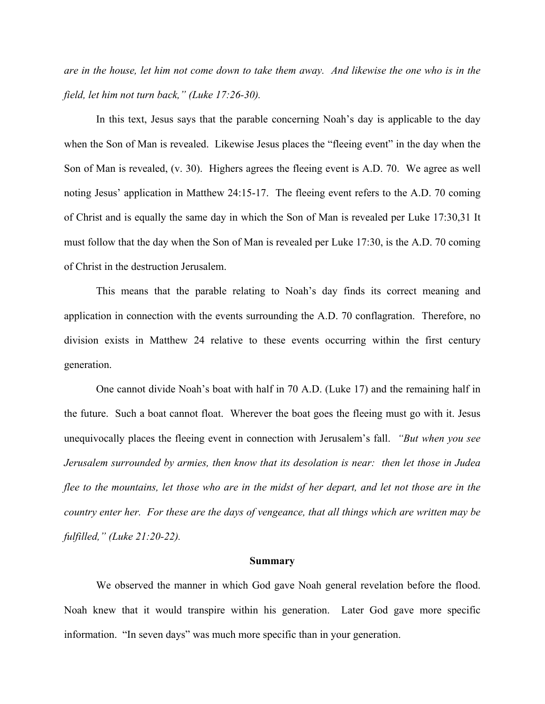*are in the house, let him not come down to take them away. And likewise the one who is in the field, let him not turn back," (Luke 17:26-30).* 

 In this text, Jesus says that the parable concerning Noah's day is applicable to the day when the Son of Man is revealed. Likewise Jesus places the "fleeing event" in the day when the Son of Man is revealed, (v. 30). Highers agrees the fleeing event is A.D. 70. We agree as well noting Jesus' application in Matthew 24:15-17. The fleeing event refers to the A.D. 70 coming of Christ and is equally the same day in which the Son of Man is revealed per Luke 17:30,31 It must follow that the day when the Son of Man is revealed per Luke 17:30, is the A.D. 70 coming of Christ in the destruction Jerusalem.

 This means that the parable relating to Noah's day finds its correct meaning and application in connection with the events surrounding the A.D. 70 conflagration. Therefore, no division exists in Matthew 24 relative to these events occurring within the first century generation.

 One cannot divide Noah's boat with half in 70 A.D. (Luke 17) and the remaining half in the future. Such a boat cannot float. Wherever the boat goes the fleeing must go with it. Jesus unequivocally places the fleeing event in connection with Jerusalem's fall. *"But when you see Jerusalem surrounded by armies, then know that its desolation is near: then let those in Judea flee to the mountains, let those who are in the midst of her depart, and let not those are in the country enter her. For these are the days of vengeance, that all things which are written may be fulfilled," (Luke 21:20-22).*

#### **Summary**

 We observed the manner in which God gave Noah general revelation before the flood. Noah knew that it would transpire within his generation. Later God gave more specific information. "In seven days" was much more specific than in your generation.